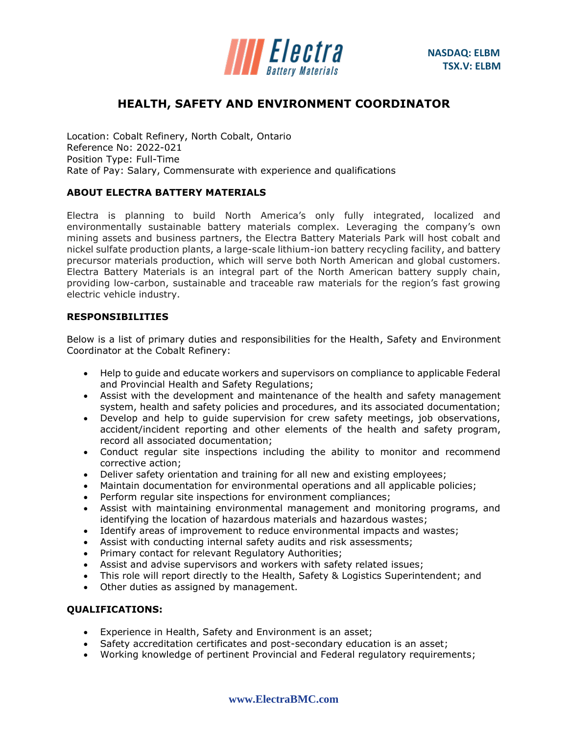

# **HEALTH, SAFETY AND ENVIRONMENT COORDINATOR**

Location: Cobalt Refinery, North Cobalt, Ontario Reference No: 2022-021 Position Type: Full-Time Rate of Pay: Salary, Commensurate with experience and qualifications

## **ABOUT ELECTRA BATTERY MATERIALS**

Electra is planning to build North America's only fully integrated, localized and environmentally sustainable battery materials complex. Leveraging the company's own mining assets and business partners, the Electra Battery Materials Park will host cobalt and nickel sulfate production plants, a large-scale lithium-ion battery recycling facility, and battery precursor materials production, which will serve both North American and global customers. Electra Battery Materials is an integral part of the North American battery supply chain, providing low-carbon, sustainable and traceable raw materials for the region's fast growing electric vehicle industry.

### **RESPONSIBILITIES**

Below is a list of primary duties and responsibilities for the Health, Safety and Environment Coordinator at the Cobalt Refinery:

- Help to guide and educate workers and supervisors on compliance to applicable Federal and Provincial Health and Safety Regulations;
- Assist with the development and maintenance of the health and safety management system, health and safety policies and procedures, and its associated documentation;
- Develop and help to guide supervision for crew safety meetings, job observations, accident/incident reporting and other elements of the health and safety program, record all associated documentation;
- Conduct regular site inspections including the ability to monitor and recommend corrective action;
- Deliver safety orientation and training for all new and existing employees;
- Maintain documentation for environmental operations and all applicable policies;
- Perform regular site inspections for environment compliances;
- Assist with maintaining environmental management and monitoring programs, and identifying the location of hazardous materials and hazardous wastes;
- Identify areas of improvement to reduce environmental impacts and wastes;
- Assist with conducting internal safety audits and risk assessments;
- Primary contact for relevant Regulatory Authorities;
- Assist and advise supervisors and workers with safety related issues;
- This role will report directly to the Health, Safety & Logistics Superintendent; and
- Other duties as assigned by management.

### **QUALIFICATIONS:**

- Experience in Health, Safety and Environment is an asset;
- Safety accreditation certificates and post-secondary education is an asset;
- Working knowledge of pertinent Provincial and Federal regulatory requirements;